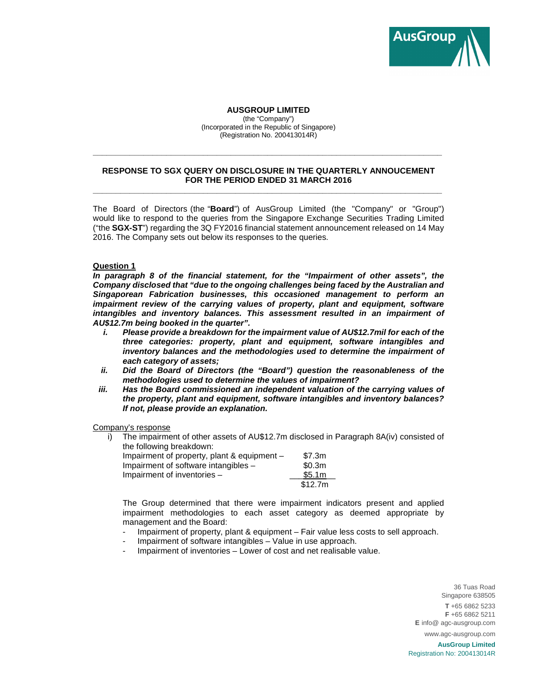

## **AUSGROUP LIMITED**

(the "Company") (Incorporated in the Republic of Singapore) (Registration No. 200413014R)

## **RESPONSE TO SGX QUERY ON DISCLOSURE IN THE QUARTERLY ANNOUCEMENT FOR THE PERIOD ENDED 31 MARCH 2016 \_\_\_\_\_\_\_\_\_\_\_\_\_\_\_\_\_\_\_\_\_\_\_\_\_\_\_\_\_\_\_\_\_\_\_\_\_\_\_\_\_\_\_\_\_\_\_\_\_\_\_\_\_\_\_\_\_\_\_\_\_\_\_\_\_\_\_\_\_\_\_\_\_\_\_\_**

**\_\_\_\_\_\_\_\_\_\_\_\_\_\_\_\_\_\_\_\_\_\_\_\_\_\_\_\_\_\_\_\_\_\_\_\_\_\_\_\_\_\_\_\_\_\_\_\_\_\_\_\_\_\_\_\_\_\_\_\_\_\_\_\_\_\_\_\_\_\_\_\_\_\_\_\_** 

The Board of Directors (the "**Board**") of AusGroup Limited (the "Company" or "Group") would like to respond to the queries from the Singapore Exchange Securities Trading Limited ("the **SGX-ST**") regarding the 3Q FY2016 financial statement announcement released on 14 May 2016. The Company sets out below its responses to the queries.

## **Question 1**

**In paragraph 8 of the financial statement, for the "Impairment of other assets", the Company disclosed that "due to the ongoing challenges being faced by the Australian and Singaporean Fabrication businesses, this occasioned management to perform an impairment review of the carrying values of property, plant and equipment, software intangibles and inventory balances. This assessment resulted in an impairment of AU\$12.7m being booked in the quarter".** 

- **i. Please provide a breakdown for the impairment value of AU\$12.7mil for each of the three categories: property, plant and equipment, software intangibles and inventory balances and the methodologies used to determine the impairment of each category of assets;**
- **ii. Did the Board of Directors (the "Board") question the reasonableness of the methodologies used to determine the values of impairment?**
- **iii. Has the Board commissioned an independent valuation of the carrying values of the property, plant and equipment, software intangibles and inventory balances? If not, please provide an explanation.**

## Company's response

i) The impairment of other assets of AU\$12.7m disclosed in Paragraph 8A(iv) consisted of the following breakdown:

| Impairment of property, plant $\&$ equipment $-$ | \$7.3m  |
|--------------------------------------------------|---------|
| Impairment of software intangibles -             | \$0.3m  |
| Impairment of inventories $-$                    | \$5.1m  |
|                                                  | \$12.7m |

The Group determined that there were impairment indicators present and applied impairment methodologies to each asset category as deemed appropriate by management and the Board:

- Impairment of property, plant & equipment Fair value less costs to sell approach.
- Impairment of software intangibles Value in use approach.
- Impairment of inventories Lower of cost and net realisable value.

36 Tuas Road Singapore 638505 **T** +65 6862 5233 **F** +65 6862 5211 **E** info@ agc-ausgroup.com www.agc-ausgroup.com

**AusGroup Limited** Registration No: 200413014R